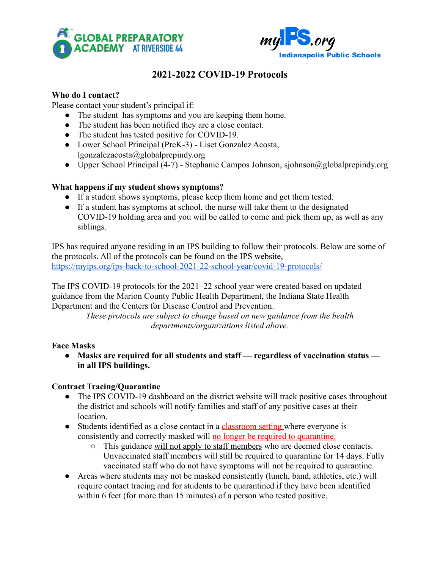



# **2021-2022 COVID-19 Protocols**

## **Who do I contact?**

Please contact your student's principal if:

- The student has symptoms and you are keeping them home.
- The student has been notified they are a close contact.
- The student has tested positive for COVID-19.
- Lower School Principal (PreK-3) Liset Gonzalez Acosta, lgonzalezacosta@globalprepindy.org
- Upper School Principal (4-7) Stephanie Campos Johnson, sjohnson@globalprepindy.org

#### **What happens if my student shows symptoms?**

- If a student shows symptoms, please keep them home and get them tested.
- If a student has symptoms at school, the nurse will take them to the designated COVID-19 holding area and you will be called to come and pick them up, as well as any siblings.

IPS has required anyone residing in an IPS building to follow their protocols. Below are some of the protocols. All of the protocols can be found on the IPS website, <https://myips.org/ips-back-to-school-2021-22-school-year/covid-19-protocols/>

The IPS COVID-19 protocols for the 2021–22 school year were created based on updated guidance from the Marion County Public Health Department, the Indiana State Health Department and the Centers for Disease Control and Prevention.

> *These protocols are subject to change based on new guidance from the health departments/organizations listed above.*

## **Face Masks**

**● Masks are required for all students and staff — regardless of vaccination status in all IPS buildings.**

## **Contract Tracing/Quarantine**

- The IPS COVID-19 dashboard on the district website will track positive cases throughout the district and schools will notify families and staff of any positive cases at their location.
- Students identified as a close contact in a classroom setting where everyone is consistently and correctly masked will no longer be required to quarantine.
	- This guidance will not apply to staff members who are deemed close contacts. Unvaccinated staff members will still be required to quarantine for 14 days. Fully vaccinated staff who do not have symptoms will not be required to quarantine.
- Areas where students may not be masked consistently (lunch, band, athletics, etc.) will require contact tracing and for students to be quarantined if they have been identified within 6 feet (for more than 15 minutes) of a person who tested positive.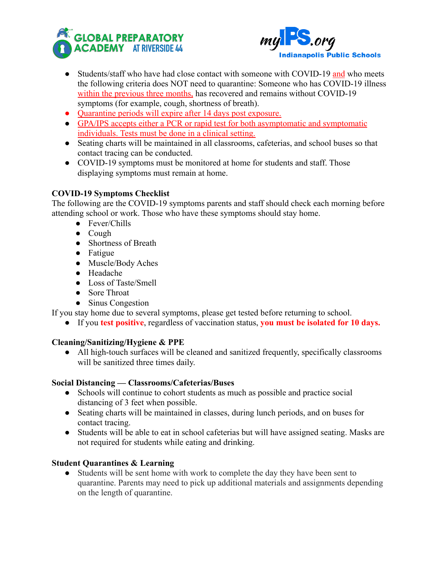



- Students/staff who have had close contact with someone with COVID-19 and who meets the following criteria does NOT need to quarantine: Someone who has COVID-19 illness within the previous three months, has recovered and remains without COVID-19 symptoms (for example, cough, shortness of breath).
- Quarantine periods will expire after 14 days post exposure.
- GPA/IPS accepts either a PCR or rapid test for both asymptomatic and symptomatic individuals. Tests must be done in a clinical setting.
- Seating charts will be maintained in all classrooms, cafeterias, and school buses so that contact tracing can be conducted.
- COVID-19 symptoms must be monitored at home for students and staff. Those displaying symptoms must remain at home.

# **COVID-19 Symptoms Checklist**

The following are the COVID-19 symptoms parents and staff should check each morning before attending school or work. Those who have these symptoms should stay home.

- Fever/Chills
- Cough
- Shortness of Breath
- Fatigue
- Muscle/Body Aches
- Headache
- Loss of Taste/Smell
- Sore Throat
- Sinus Congestion

If you stay home due to several symptoms, please get tested before returning to school.

● If you **test positive**, regardless of vaccination status, **you must be isolated for 10 days.**

## **Cleaning/Sanitizing/Hygiene & PPE**

● All high-touch surfaces will be cleaned and sanitized frequently, specifically classrooms will be sanitized three times daily.

## **Social Distancing — Classrooms/Cafeterias/Buses**

- Schools will continue to cohort students as much as possible and practice social distancing of 3 feet when possible.
- Seating charts will be maintained in classes, during lunch periods, and on buses for contact tracing.
- Students will be able to eat in school cafeterias but will have assigned seating. Masks are not required for students while eating and drinking.

## **Student Quarantines & Learning**

● Students will be sent home with work to complete the day they have been sent to quarantine. Parents may need to pick up additional materials and assignments depending on the length of quarantine.